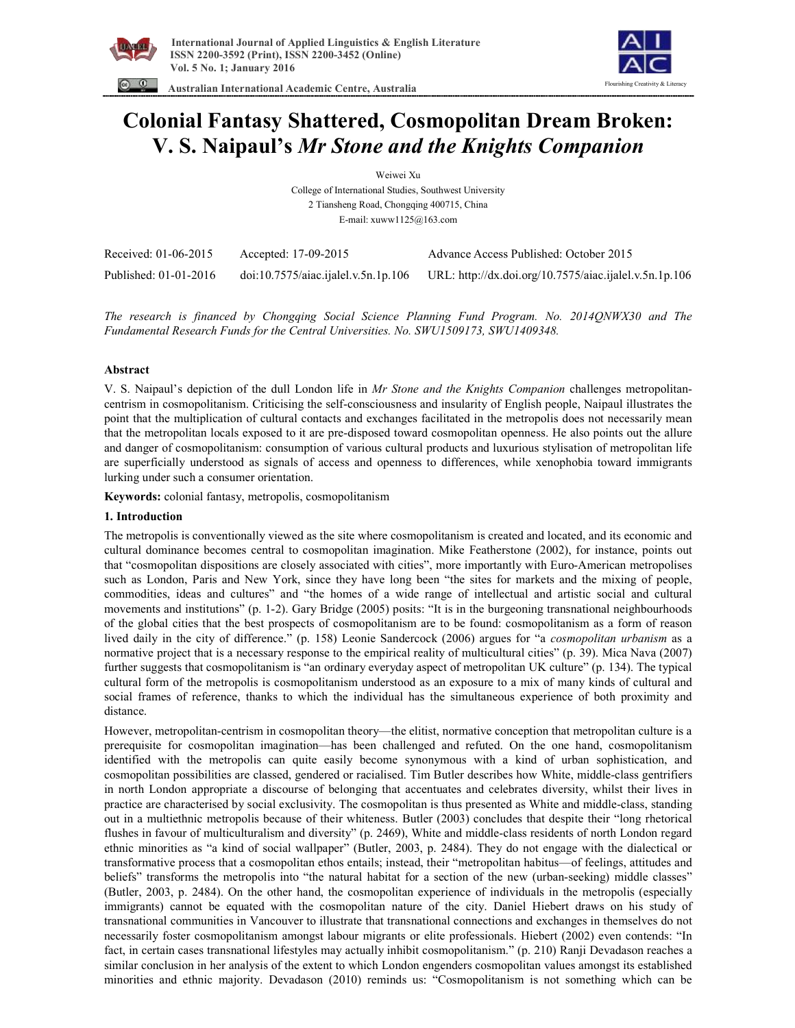

 **Australian International Academic Centre, Australia** 



**Colonial Fantasy Shattered, Cosmopolitan Dream Broken: V. S. Naipaul's** *Mr Stone and the Knights Companion* 

Weiwei Xu

College of International Studies, Southwest University 2 Tiansheng Road, Chongqing 400715, China E-mail: xuww1125@163.com

| Received: 01-06-2015  | Accepted: 17-09-2015                | Advance Access Published: October 2015                 |
|-----------------------|-------------------------------------|--------------------------------------------------------|
| Published: 01-01-2016 | doi:10.7575/aiac.ijalel.v.5n.1p.106 | URL: http://dx.doi.org/10.7575/aiac.ijalel.v.5n.1p.106 |

*The research is financed by Chongqing Social Science Planning Fund Program. No. 2014QNWX30 and The Fundamental Research Funds for the Central Universities. No. SWU1509173, SWU1409348.* 

# **Abstract**

V. S. Naipaul's depiction of the dull London life in *Mr Stone and the Knights Companion* challenges metropolitancentrism in cosmopolitanism. Criticising the self-consciousness and insularity of English people, Naipaul illustrates the point that the multiplication of cultural contacts and exchanges facilitated in the metropolis does not necessarily mean that the metropolitan locals exposed to it are pre-disposed toward cosmopolitan openness. He also points out the allure and danger of cosmopolitanism: consumption of various cultural products and luxurious stylisation of metropolitan life are superficially understood as signals of access and openness to differences, while xenophobia toward immigrants lurking under such a consumer orientation.

**Keywords:** colonial fantasy, metropolis, cosmopolitanism

# **1. Introduction**

The metropolis is conventionally viewed as the site where cosmopolitanism is created and located, and its economic and cultural dominance becomes central to cosmopolitan imagination. Mike Featherstone (2002), for instance, points out that "cosmopolitan dispositions are closely associated with cities", more importantly with Euro-American metropolises such as London, Paris and New York, since they have long been "the sites for markets and the mixing of people, commodities, ideas and cultures" and "the homes of a wide range of intellectual and artistic social and cultural movements and institutions" (p. 1-2). Gary Bridge (2005) posits: "It is in the burgeoning transnational neighbourhoods of the global cities that the best prospects of cosmopolitanism are to be found: cosmopolitanism as a form of reason lived daily in the city of difference." (p. 158) Leonie Sandercock (2006) argues for "a *cosmopolitan urbanism* as a normative project that is a necessary response to the empirical reality of multicultural cities" (p. 39). Mica Nava (2007) further suggests that cosmopolitanism is "an ordinary everyday aspect of metropolitan UK culture" (p. 134). The typical cultural form of the metropolis is cosmopolitanism understood as an exposure to a mix of many kinds of cultural and social frames of reference, thanks to which the individual has the simultaneous experience of both proximity and distance.

However, metropolitan-centrism in cosmopolitan theory—the elitist, normative conception that metropolitan culture is a prerequisite for cosmopolitan imagination—has been challenged and refuted. On the one hand, cosmopolitanism identified with the metropolis can quite easily become synonymous with a kind of urban sophistication, and cosmopolitan possibilities are classed, gendered or racialised. Tim Butler describes how White, middle-class gentrifiers in north London appropriate a discourse of belonging that accentuates and celebrates diversity, whilst their lives in practice are characterised by social exclusivity. The cosmopolitan is thus presented as White and middle-class, standing out in a multiethnic metropolis because of their whiteness. Butler (2003) concludes that despite their "long rhetorical flushes in favour of multiculturalism and diversity" (p. 2469), White and middle-class residents of north London regard ethnic minorities as "a kind of social wallpaper" (Butler, 2003, p. 2484). They do not engage with the dialectical or transformative process that a cosmopolitan ethos entails; instead, their "metropolitan habitus—of feelings, attitudes and beliefs" transforms the metropolis into "the natural habitat for a section of the new (urban-seeking) middle classes" (Butler, 2003, p. 2484). On the other hand, the cosmopolitan experience of individuals in the metropolis (especially immigrants) cannot be equated with the cosmopolitan nature of the city. Daniel Hiebert draws on his study of transnational communities in Vancouver to illustrate that transnational connections and exchanges in themselves do not necessarily foster cosmopolitanism amongst labour migrants or elite professionals. Hiebert (2002) even contends: "In fact, in certain cases transnational lifestyles may actually inhibit cosmopolitanism." (p. 210) Ranji Devadason reaches a similar conclusion in her analysis of the extent to which London engenders cosmopolitan values amongst its established minorities and ethnic majority. Devadason (2010) reminds us: "Cosmopolitanism is not something which can be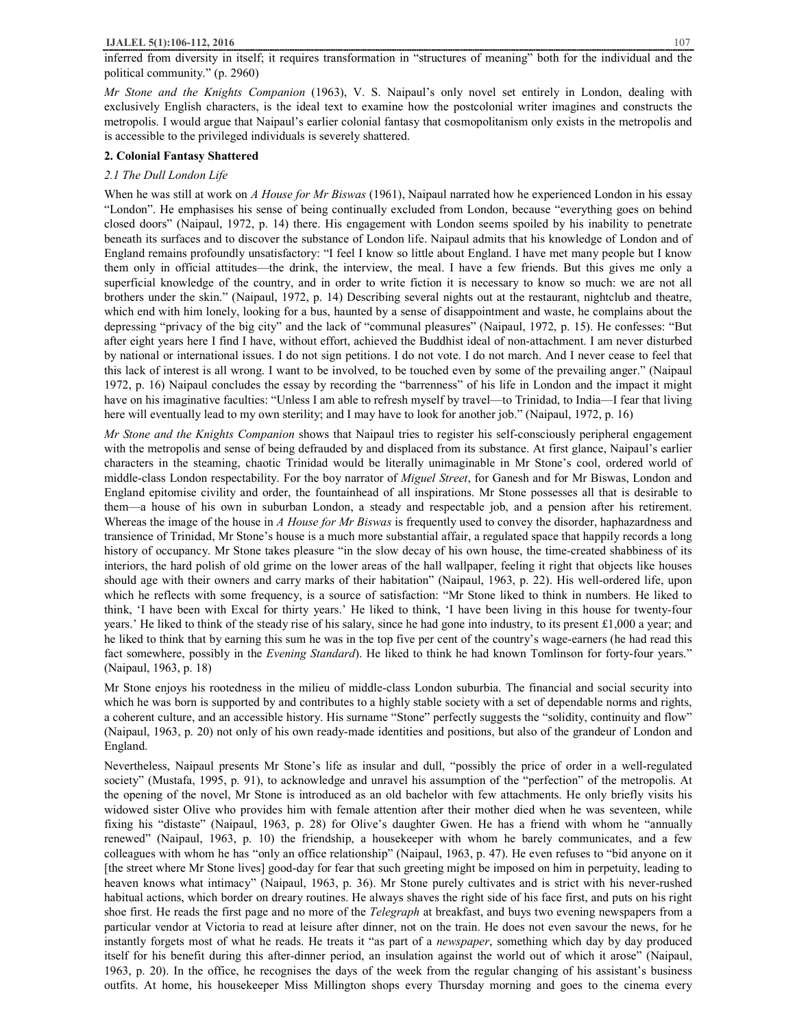### **IJALEL 5(1):106-112, 2016** 107

inferred from diversity in itself; it requires transformation in "structures of meaning" both for the individual and the political community." (p. 2960)

*Mr Stone and the Knights Companion* (1963), V. S. Naipaul's only novel set entirely in London, dealing with exclusively English characters, is the ideal text to examine how the postcolonial writer imagines and constructs the metropolis. I would argue that Naipaul's earlier colonial fantasy that cosmopolitanism only exists in the metropolis and is accessible to the privileged individuals is severely shattered.

## **2. Colonial Fantasy Shattered**

#### *2.1 The Dull London Life*

When he was still at work on *A House for Mr Biswas* (1961), Naipaul narrated how he experienced London in his essay "London". He emphasises his sense of being continually excluded from London, because "everything goes on behind closed doors" (Naipaul, 1972, p. 14) there. His engagement with London seems spoiled by his inability to penetrate beneath its surfaces and to discover the substance of London life. Naipaul admits that his knowledge of London and of England remains profoundly unsatisfactory: "I feel I know so little about England. I have met many people but I know them only in official attitudes—the drink, the interview, the meal. I have a few friends. But this gives me only a superficial knowledge of the country, and in order to write fiction it is necessary to know so much: we are not all brothers under the skin." (Naipaul, 1972, p. 14) Describing several nights out at the restaurant, nightclub and theatre, which end with him lonely, looking for a bus, haunted by a sense of disappointment and waste, he complains about the depressing "privacy of the big city" and the lack of "communal pleasures" (Naipaul, 1972, p. 15). He confesses: "But after eight years here I find I have, without effort, achieved the Buddhist ideal of non-attachment. I am never disturbed by national or international issues. I do not sign petitions. I do not vote. I do not march. And I never cease to feel that this lack of interest is all wrong. I want to be involved, to be touched even by some of the prevailing anger." (Naipaul 1972, p. 16) Naipaul concludes the essay by recording the "barrenness" of his life in London and the impact it might have on his imaginative faculties: "Unless I am able to refresh myself by travel—to Trinidad, to India—I fear that living here will eventually lead to my own sterility; and I may have to look for another job." (Naipaul, 1972, p. 16)

*Mr Stone and the Knights Companion* shows that Naipaul tries to register his self-consciously peripheral engagement with the metropolis and sense of being defrauded by and displaced from its substance. At first glance, Naipaul's earlier characters in the steaming, chaotic Trinidad would be literally unimaginable in Mr Stone's cool, ordered world of middle-class London respectability. For the boy narrator of *Miguel Street*, for Ganesh and for Mr Biswas, London and England epitomise civility and order, the fountainhead of all inspirations. Mr Stone possesses all that is desirable to them—a house of his own in suburban London, a steady and respectable job, and a pension after his retirement. Whereas the image of the house in *A House for Mr Biswas* is frequently used to convey the disorder, haphazardness and transience of Trinidad, Mr Stone's house is a much more substantial affair, a regulated space that happily records a long history of occupancy. Mr Stone takes pleasure "in the slow decay of his own house, the time-created shabbiness of its interiors, the hard polish of old grime on the lower areas of the hall wallpaper, feeling it right that objects like houses should age with their owners and carry marks of their habitation" (Naipaul, 1963, p. 22). His well-ordered life, upon which he reflects with some frequency, is a source of satisfaction: "Mr Stone liked to think in numbers. He liked to think, 'I have been with Excal for thirty years.' He liked to think, 'I have been living in this house for twenty-four years.' He liked to think of the steady rise of his salary, since he had gone into industry, to its present £1,000 a year; and he liked to think that by earning this sum he was in the top five per cent of the country's wage-earners (he had read this fact somewhere, possibly in the *Evening Standard*). He liked to think he had known Tomlinson for forty-four years." (Naipaul, 1963, p. 18)

Mr Stone enjoys his rootedness in the milieu of middle-class London suburbia. The financial and social security into which he was born is supported by and contributes to a highly stable society with a set of dependable norms and rights, a coherent culture, and an accessible history. His surname "Stone" perfectly suggests the "solidity, continuity and flow" (Naipaul, 1963, p. 20) not only of his own ready-made identities and positions, but also of the grandeur of London and England.

Nevertheless, Naipaul presents Mr Stone's life as insular and dull, "possibly the price of order in a well-regulated society" (Mustafa, 1995, p. 91), to acknowledge and unravel his assumption of the "perfection" of the metropolis. At the opening of the novel, Mr Stone is introduced as an old bachelor with few attachments. He only briefly visits his widowed sister Olive who provides him with female attention after their mother died when he was seventeen, while fixing his "distaste" (Naipaul, 1963, p. 28) for Olive's daughter Gwen. He has a friend with whom he "annually renewed" (Naipaul, 1963, p. 10) the friendship, a housekeeper with whom he barely communicates, and a few colleagues with whom he has "only an office relationship" (Naipaul, 1963, p. 47). He even refuses to "bid anyone on it [the street where Mr Stone lives] good-day for fear that such greeting might be imposed on him in perpetuity, leading to heaven knows what intimacy" (Naipaul, 1963, p. 36). Mr Stone purely cultivates and is strict with his never-rushed habitual actions, which border on dreary routines. He always shaves the right side of his face first, and puts on his right shoe first. He reads the first page and no more of the *Telegraph* at breakfast, and buys two evening newspapers from a particular vendor at Victoria to read at leisure after dinner, not on the train. He does not even savour the news, for he instantly forgets most of what he reads. He treats it "as part of a *newspaper*, something which day by day produced itself for his benefit during this after-dinner period, an insulation against the world out of which it arose" (Naipaul, 1963, p. 20). In the office, he recognises the days of the week from the regular changing of his assistant's business outfits. At home, his housekeeper Miss Millington shops every Thursday morning and goes to the cinema every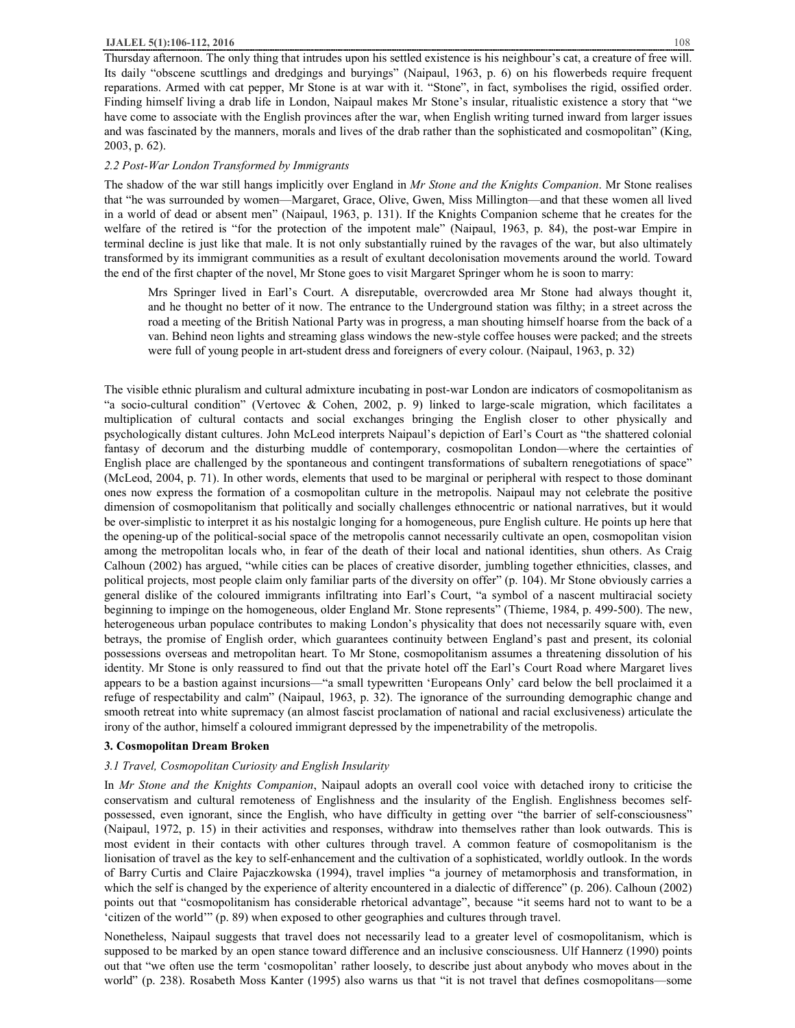Thursday afternoon. The only thing that intrudes upon his settled existence is his neighbour's cat, a creature of free will. Its daily "obscene scuttlings and dredgings and buryings" (Naipaul, 1963, p. 6) on his flowerbeds require frequent reparations. Armed with cat pepper, Mr Stone is at war with it. "Stone", in fact, symbolises the rigid, ossified order. Finding himself living a drab life in London, Naipaul makes Mr Stone's insular, ritualistic existence a story that "we have come to associate with the English provinces after the war, when English writing turned inward from larger issues and was fascinated by the manners, morals and lives of the drab rather than the sophisticated and cosmopolitan" (King, 2003, p. 62).

## *2.2 Post-War London Transformed by Immigrants*

The shadow of the war still hangs implicitly over England in *Mr Stone and the Knights Companion*. Mr Stone realises that "he was surrounded by women—Margaret, Grace, Olive, Gwen, Miss Millington—and that these women all lived in a world of dead or absent men" (Naipaul, 1963, p. 131). If the Knights Companion scheme that he creates for the welfare of the retired is "for the protection of the impotent male" (Naipaul, 1963, p. 84), the post-war Empire in terminal decline is just like that male. It is not only substantially ruined by the ravages of the war, but also ultimately transformed by its immigrant communities as a result of exultant decolonisation movements around the world. Toward the end of the first chapter of the novel, Mr Stone goes to visit Margaret Springer whom he is soon to marry:

Mrs Springer lived in Earl's Court. A disreputable, overcrowded area Mr Stone had always thought it, and he thought no better of it now. The entrance to the Underground station was filthy; in a street across the road a meeting of the British National Party was in progress, a man shouting himself hoarse from the back of a van. Behind neon lights and streaming glass windows the new-style coffee houses were packed; and the streets were full of young people in art-student dress and foreigners of every colour. (Naipaul, 1963, p. 32)

The visible ethnic pluralism and cultural admixture incubating in post-war London are indicators of cosmopolitanism as "a socio-cultural condition" (Vertovec & Cohen, 2002, p. 9) linked to large-scale migration, which facilitates a multiplication of cultural contacts and social exchanges bringing the English closer to other physically and psychologically distant cultures. John McLeod interprets Naipaul's depiction of Earl's Court as "the shattered colonial fantasy of decorum and the disturbing muddle of contemporary, cosmopolitan London—where the certainties of English place are challenged by the spontaneous and contingent transformations of subaltern renegotiations of space" (McLeod, 2004, p. 71). In other words, elements that used to be marginal or peripheral with respect to those dominant ones now express the formation of a cosmopolitan culture in the metropolis. Naipaul may not celebrate the positive dimension of cosmopolitanism that politically and socially challenges ethnocentric or national narratives, but it would be over-simplistic to interpret it as his nostalgic longing for a homogeneous, pure English culture. He points up here that the opening-up of the political-social space of the metropolis cannot necessarily cultivate an open, cosmopolitan vision among the metropolitan locals who, in fear of the death of their local and national identities, shun others. As Craig Calhoun (2002) has argued, "while cities can be places of creative disorder, jumbling together ethnicities, classes, and political projects, most people claim only familiar parts of the diversity on offer" (p. 104). Mr Stone obviously carries a general dislike of the coloured immigrants infiltrating into Earl's Court, "a symbol of a nascent multiracial society beginning to impinge on the homogeneous, older England Mr. Stone represents" (Thieme, 1984, p. 499-500). The new, heterogeneous urban populace contributes to making London's physicality that does not necessarily square with, even betrays, the promise of English order, which guarantees continuity between England's past and present, its colonial possessions overseas and metropolitan heart. To Mr Stone, cosmopolitanism assumes a threatening dissolution of his identity. Mr Stone is only reassured to find out that the private hotel off the Earl's Court Road where Margaret lives appears to be a bastion against incursions—"a small typewritten 'Europeans Only' card below the bell proclaimed it a refuge of respectability and calm" (Naipaul, 1963, p. 32). The ignorance of the surrounding demographic change and smooth retreat into white supremacy (an almost fascist proclamation of national and racial exclusiveness) articulate the irony of the author, himself a coloured immigrant depressed by the impenetrability of the metropolis.

#### **3. Cosmopolitan Dream Broken**

## *3.1 Travel, Cosmopolitan Curiosity and English Insularity*

In *Mr Stone and the Knights Companion*, Naipaul adopts an overall cool voice with detached irony to criticise the conservatism and cultural remoteness of Englishness and the insularity of the English. Englishness becomes selfpossessed, even ignorant, since the English, who have difficulty in getting over "the barrier of self-consciousness" (Naipaul, 1972, p. 15) in their activities and responses, withdraw into themselves rather than look outwards. This is most evident in their contacts with other cultures through travel. A common feature of cosmopolitanism is the lionisation of travel as the key to self-enhancement and the cultivation of a sophisticated, worldly outlook. In the words of Barry Curtis and Claire Pajaczkowska (1994), travel implies "a journey of metamorphosis and transformation, in which the self is changed by the experience of alterity encountered in a dialectic of difference" (p. 206). Calhoun (2002) points out that "cosmopolitanism has considerable rhetorical advantage", because "it seems hard not to want to be a 'citizen of the world'" (p. 89) when exposed to other geographies and cultures through travel.

Nonetheless, Naipaul suggests that travel does not necessarily lead to a greater level of cosmopolitanism, which is supposed to be marked by an open stance toward difference and an inclusive consciousness. Ulf Hannerz (1990) points out that "we often use the term 'cosmopolitan' rather loosely, to describe just about anybody who moves about in the world" (p. 238). Rosabeth Moss Kanter (1995) also warns us that "it is not travel that defines cosmopolitans—some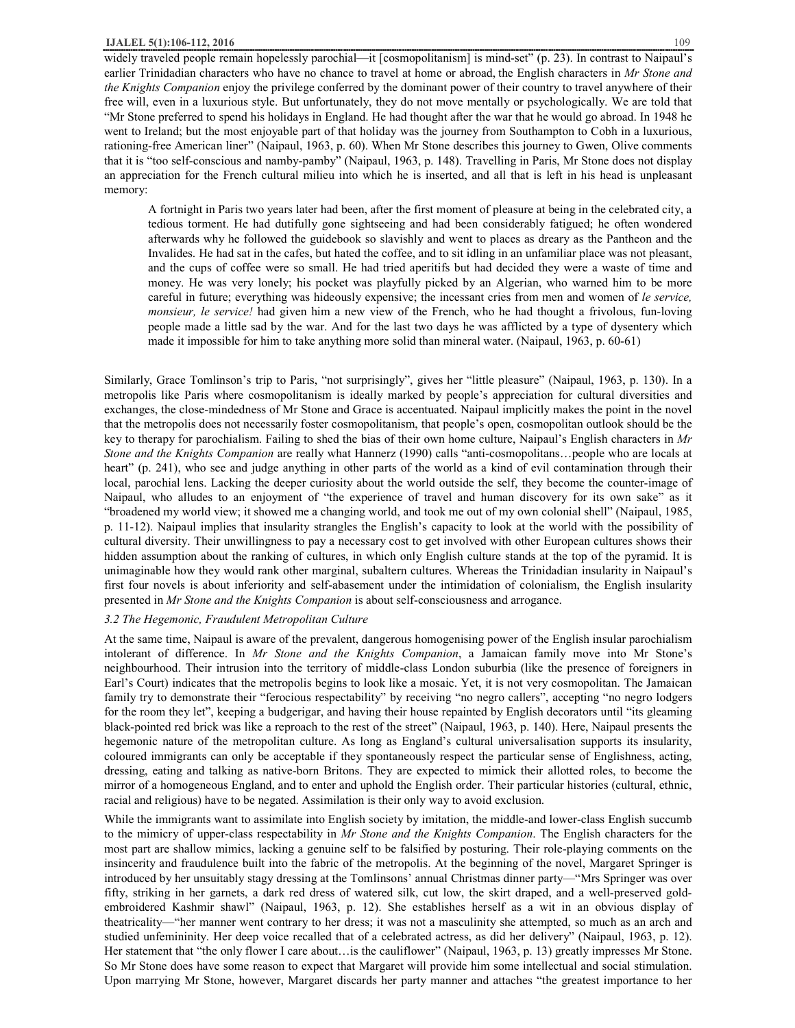#### **IJALEL 5(1):106-112, 2016** 109

widely traveled people remain hopelessly parochial—it [cosmopolitanism] is mind-set" (p. 23). In contrast to Naipaul's earlier Trinidadian characters who have no chance to travel at home or abroad, the English characters in *Mr Stone and the Knights Companion* enjoy the privilege conferred by the dominant power of their country to travel anywhere of their free will, even in a luxurious style. But unfortunately, they do not move mentally or psychologically. We are told that "Mr Stone preferred to spend his holidays in England. He had thought after the war that he would go abroad. In 1948 he went to Ireland; but the most enjoyable part of that holiday was the journey from Southampton to Cobh in a luxurious, rationing-free American liner" (Naipaul, 1963, p. 60). When Mr Stone describes this journey to Gwen, Olive comments that it is "too self-conscious and namby-pamby" (Naipaul, 1963, p. 148). Travelling in Paris, Mr Stone does not display an appreciation for the French cultural milieu into which he is inserted, and all that is left in his head is unpleasant memory:

A fortnight in Paris two years later had been, after the first moment of pleasure at being in the celebrated city, a tedious torment. He had dutifully gone sightseeing and had been considerably fatigued; he often wondered afterwards why he followed the guidebook so slavishly and went to places as dreary as the Pantheon and the Invalides. He had sat in the cafes, but hated the coffee, and to sit idling in an unfamiliar place was not pleasant, and the cups of coffee were so small. He had tried aperitifs but had decided they were a waste of time and money. He was very lonely; his pocket was playfully picked by an Algerian, who warned him to be more careful in future; everything was hideously expensive; the incessant cries from men and women of *le service, monsieur, le service!* had given him a new view of the French, who he had thought a frivolous, fun-loving people made a little sad by the war. And for the last two days he was afflicted by a type of dysentery which made it impossible for him to take anything more solid than mineral water. (Naipaul, 1963, p. 60-61)

Similarly, Grace Tomlinson's trip to Paris, "not surprisingly", gives her "little pleasure" (Naipaul, 1963, p. 130). In a metropolis like Paris where cosmopolitanism is ideally marked by people's appreciation for cultural diversities and exchanges, the close-mindedness of Mr Stone and Grace is accentuated. Naipaul implicitly makes the point in the novel that the metropolis does not necessarily foster cosmopolitanism, that people's open, cosmopolitan outlook should be the key to therapy for parochialism. Failing to shed the bias of their own home culture, Naipaul's English characters in *Mr Stone and the Knights Companion* are really what Hannerz (1990) calls "anti-cosmopolitans…people who are locals at heart" (p. 241), who see and judge anything in other parts of the world as a kind of evil contamination through their local, parochial lens. Lacking the deeper curiosity about the world outside the self, they become the counter-image of Naipaul, who alludes to an enjoyment of "the experience of travel and human discovery for its own sake" as it "broadened my world view; it showed me a changing world, and took me out of my own colonial shell" (Naipaul, 1985, p. 11-12). Naipaul implies that insularity strangles the English's capacity to look at the world with the possibility of cultural diversity. Their unwillingness to pay a necessary cost to get involved with other European cultures shows their hidden assumption about the ranking of cultures, in which only English culture stands at the top of the pyramid. It is unimaginable how they would rank other marginal, subaltern cultures. Whereas the Trinidadian insularity in Naipaul's first four novels is about inferiority and self-abasement under the intimidation of colonialism, the English insularity presented in *Mr Stone and the Knights Companion* is about self-consciousness and arrogance.

## *3.2 The Hegemonic, Fraudulent Metropolitan Culture*

At the same time, Naipaul is aware of the prevalent, dangerous homogenising power of the English insular parochialism intolerant of difference. In *Mr Stone and the Knights Companion*, a Jamaican family move into Mr Stone's neighbourhood. Their intrusion into the territory of middle-class London suburbia (like the presence of foreigners in Earl's Court) indicates that the metropolis begins to look like a mosaic. Yet, it is not very cosmopolitan. The Jamaican family try to demonstrate their "ferocious respectability" by receiving "no negro callers", accepting "no negro lodgers for the room they let", keeping a budgerigar, and having their house repainted by English decorators until "its gleaming black-pointed red brick was like a reproach to the rest of the street" (Naipaul, 1963, p. 140). Here, Naipaul presents the hegemonic nature of the metropolitan culture. As long as England's cultural universalisation supports its insularity, coloured immigrants can only be acceptable if they spontaneously respect the particular sense of Englishness, acting, dressing, eating and talking as native-born Britons. They are expected to mimick their allotted roles, to become the mirror of a homogeneous England, and to enter and uphold the English order. Their particular histories (cultural, ethnic, racial and religious) have to be negated. Assimilation is their only way to avoid exclusion.

While the immigrants want to assimilate into English society by imitation, the middle-and lower-class English succumb to the mimicry of upper-class respectability in *Mr Stone and the Knights Companion*. The English characters for the most part are shallow mimics, lacking a genuine self to be falsified by posturing. Their role-playing comments on the insincerity and fraudulence built into the fabric of the metropolis. At the beginning of the novel, Margaret Springer is introduced by her unsuitably stagy dressing at the Tomlinsons' annual Christmas dinner party—"Mrs Springer was over fifty, striking in her garnets, a dark red dress of watered silk, cut low, the skirt draped, and a well-preserved goldembroidered Kashmir shawl" (Naipaul, 1963, p. 12). She establishes herself as a wit in an obvious display of theatricality—"her manner went contrary to her dress; it was not a masculinity she attempted, so much as an arch and studied unfemininity. Her deep voice recalled that of a celebrated actress, as did her delivery" (Naipaul, 1963, p. 12). Her statement that "the only flower I care about…is the cauliflower" (Naipaul, 1963, p. 13) greatly impresses Mr Stone. So Mr Stone does have some reason to expect that Margaret will provide him some intellectual and social stimulation. Upon marrying Mr Stone, however, Margaret discards her party manner and attaches "the greatest importance to her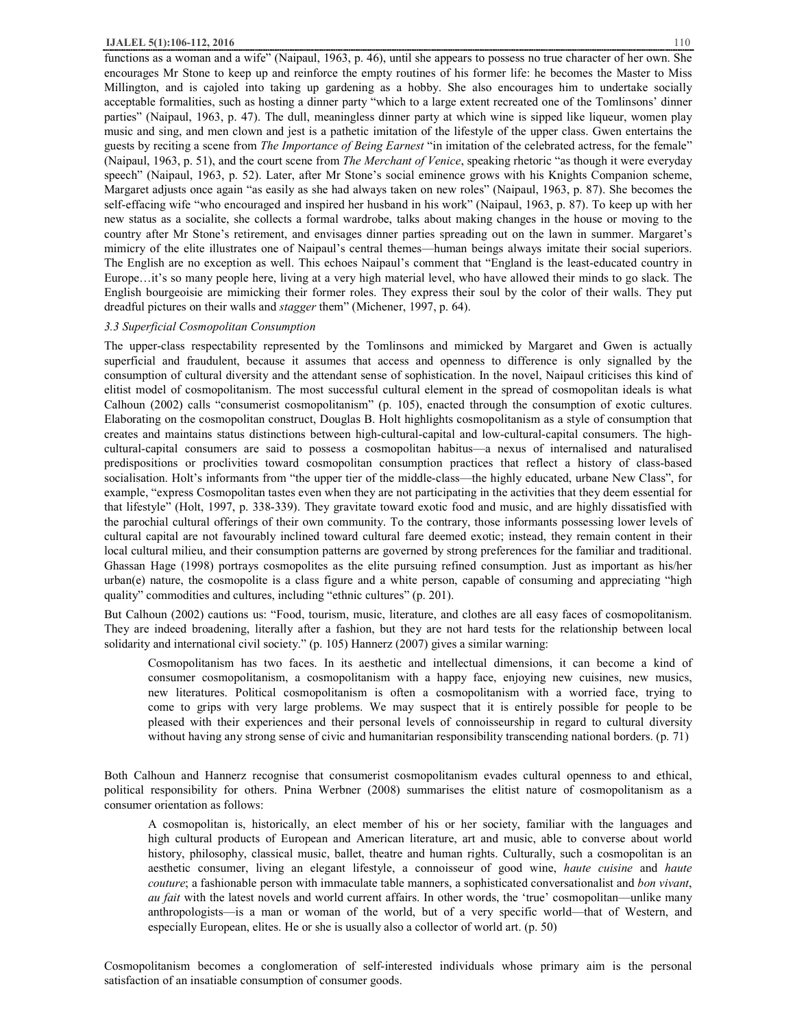#### **IJALEL 5(1):106-112, 2016** 110

functions as a woman and a wife" (Naipaul, 1963, p. 46), until she appears to possess no true character of her own. She encourages Mr Stone to keep up and reinforce the empty routines of his former life: he becomes the Master to Miss Millington, and is cajoled into taking up gardening as a hobby. She also encourages him to undertake socially acceptable formalities, such as hosting a dinner party "which to a large extent recreated one of the Tomlinsons' dinner parties" (Naipaul, 1963, p. 47). The dull, meaningless dinner party at which wine is sipped like liqueur, women play music and sing, and men clown and jest is a pathetic imitation of the lifestyle of the upper class. Gwen entertains the guests by reciting a scene from *The Importance of Being Earnest* "in imitation of the celebrated actress, for the female" (Naipaul, 1963, p. 51), and the court scene from *The Merchant of Venice*, speaking rhetoric "as though it were everyday speech" (Naipaul, 1963, p. 52). Later, after Mr Stone's social eminence grows with his Knights Companion scheme, Margaret adjusts once again "as easily as she had always taken on new roles" (Naipaul, 1963, p. 87). She becomes the self-effacing wife "who encouraged and inspired her husband in his work" (Naipaul, 1963, p. 87). To keep up with her new status as a socialite, she collects a formal wardrobe, talks about making changes in the house or moving to the country after Mr Stone's retirement, and envisages dinner parties spreading out on the lawn in summer. Margaret's mimicry of the elite illustrates one of Naipaul's central themes—human beings always imitate their social superiors. The English are no exception as well. This echoes Naipaul's comment that "England is the least-educated country in Europe…it's so many people here, living at a very high material level, who have allowed their minds to go slack. The English bourgeoisie are mimicking their former roles. They express their soul by the color of their walls. They put dreadful pictures on their walls and *stagger* them" (Michener, 1997, p. 64).

#### *3.3 Superficial Cosmopolitan Consumption*

The upper-class respectability represented by the Tomlinsons and mimicked by Margaret and Gwen is actually superficial and fraudulent, because it assumes that access and openness to difference is only signalled by the consumption of cultural diversity and the attendant sense of sophistication. In the novel, Naipaul criticises this kind of elitist model of cosmopolitanism. The most successful cultural element in the spread of cosmopolitan ideals is what Calhoun (2002) calls "consumerist cosmopolitanism" (p. 105), enacted through the consumption of exotic cultures. Elaborating on the cosmopolitan construct, Douglas B. Holt highlights cosmopolitanism as a style of consumption that creates and maintains status distinctions between high-cultural-capital and low-cultural-capital consumers. The highcultural-capital consumers are said to possess a cosmopolitan habitus—a nexus of internalised and naturalised predispositions or proclivities toward cosmopolitan consumption practices that reflect a history of class-based socialisation. Holt's informants from "the upper tier of the middle-class—the highly educated, urbane New Class", for example, "express Cosmopolitan tastes even when they are not participating in the activities that they deem essential for that lifestyle" (Holt, 1997, p. 338-339). They gravitate toward exotic food and music, and are highly dissatisfied with the parochial cultural offerings of their own community. To the contrary, those informants possessing lower levels of cultural capital are not favourably inclined toward cultural fare deemed exotic; instead, they remain content in their local cultural milieu, and their consumption patterns are governed by strong preferences for the familiar and traditional. Ghassan Hage (1998) portrays cosmopolites as the elite pursuing refined consumption. Just as important as his/her  $urban(e)$  nature, the cosmopolite is a class figure and a white person, capable of consuming and appreciating "high quality" commodities and cultures, including "ethnic cultures" (p. 201).

But Calhoun (2002) cautions us: "Food, tourism, music, literature, and clothes are all easy faces of cosmopolitanism. They are indeed broadening, literally after a fashion, but they are not hard tests for the relationship between local solidarity and international civil society." (p. 105) Hannerz (2007) gives a similar warning:

Cosmopolitanism has two faces. In its aesthetic and intellectual dimensions, it can become a kind of consumer cosmopolitanism, a cosmopolitanism with a happy face, enjoying new cuisines, new musics, new literatures. Political cosmopolitanism is often a cosmopolitanism with a worried face, trying to come to grips with very large problems. We may suspect that it is entirely possible for people to be pleased with their experiences and their personal levels of connoisseurship in regard to cultural diversity without having any strong sense of civic and humanitarian responsibility transcending national borders. (p. 71)

Both Calhoun and Hannerz recognise that consumerist cosmopolitanism evades cultural openness to and ethical, political responsibility for others. Pnina Werbner (2008) summarises the elitist nature of cosmopolitanism as a consumer orientation as follows:

A cosmopolitan is, historically, an elect member of his or her society, familiar with the languages and high cultural products of European and American literature, art and music, able to converse about world history, philosophy, classical music, ballet, theatre and human rights. Culturally, such a cosmopolitan is an aesthetic consumer, living an elegant lifestyle, a connoisseur of good wine, *haute cuisine* and *haute couture*; a fashionable person with immaculate table manners, a sophisticated conversationalist and *bon vivant*, *au fait* with the latest novels and world current affairs. In other words, the 'true' cosmopolitan—unlike many anthropologists—is a man or woman of the world, but of a very specific world—that of Western, and especially European, elites. He or she is usually also a collector of world art. (p. 50)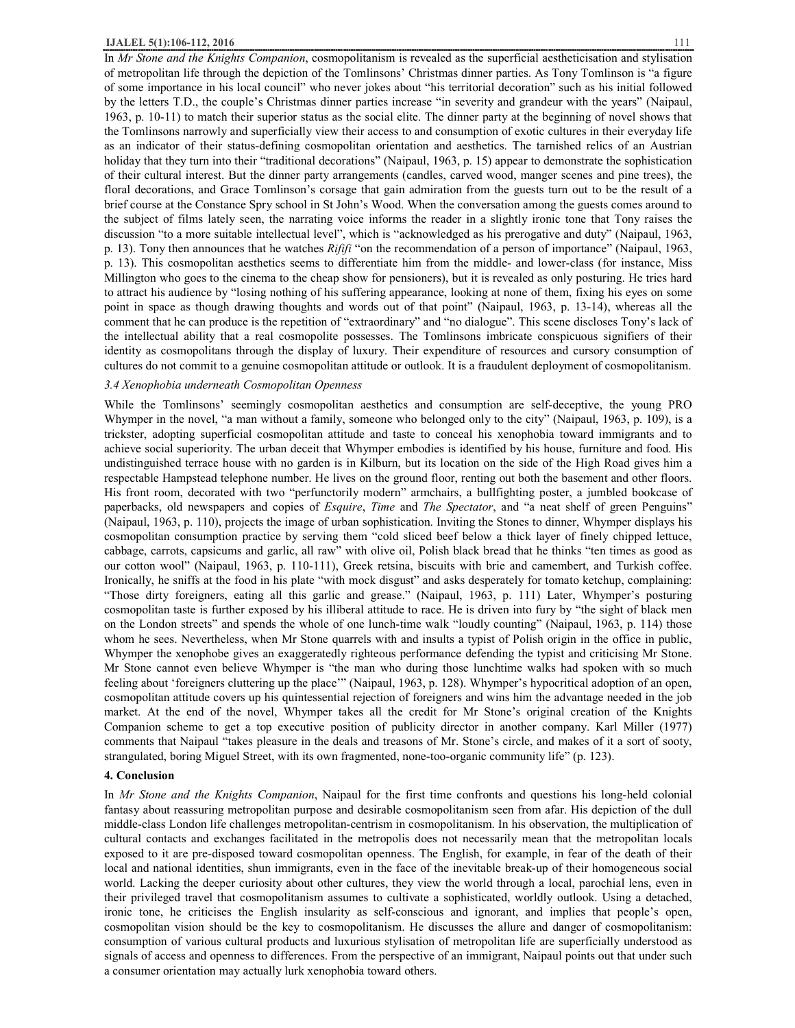In *Mr Stone and the Knights Companion*, cosmopolitanism is revealed as the superficial aestheticisation and stylisation of metropolitan life through the depiction of the Tomlinsons' Christmas dinner parties. As Tony Tomlinson is "a figure of some importance in his local council" who never jokes about "his territorial decoration" such as his initial followed by the letters T.D., the couple's Christmas dinner parties increase "in severity and grandeur with the years" (Naipaul, 1963, p. 10-11) to match their superior status as the social elite. The dinner party at the beginning of novel shows that the Tomlinsons narrowly and superficially view their access to and consumption of exotic cultures in their everyday life as an indicator of their status-defining cosmopolitan orientation and aesthetics. The tarnished relics of an Austrian holiday that they turn into their "traditional decorations" (Naipaul, 1963, p. 15) appear to demonstrate the sophistication of their cultural interest. But the dinner party arrangements (candles, carved wood, manger scenes and pine trees), the floral decorations, and Grace Tomlinson's corsage that gain admiration from the guests turn out to be the result of a brief course at the Constance Spry school in St John's Wood. When the conversation among the guests comes around to the subject of films lately seen, the narrating voice informs the reader in a slightly ironic tone that Tony raises the discussion "to a more suitable intellectual level", which is "acknowledged as his prerogative and duty" (Naipaul, 1963, p. 13). Tony then announces that he watches *Rififi* "on the recommendation of a person of importance" (Naipaul, 1963, p. 13). This cosmopolitan aesthetics seems to differentiate him from the middle- and lower-class (for instance, Miss Millington who goes to the cinema to the cheap show for pensioners), but it is revealed as only posturing. He tries hard to attract his audience by "losing nothing of his suffering appearance, looking at none of them, fixing his eyes on some point in space as though drawing thoughts and words out of that point" (Naipaul, 1963, p. 13-14), whereas all the comment that he can produce is the repetition of "extraordinary" and "no dialogue". This scene discloses Tony's lack of the intellectual ability that a real cosmopolite possesses. The Tomlinsons imbricate conspicuous signifiers of their identity as cosmopolitans through the display of luxury. Their expenditure of resources and cursory consumption of cultures do not commit to a genuine cosmopolitan attitude or outlook. It is a fraudulent deployment of cosmopolitanism.

## *3.4 Xenophobia underneath Cosmopolitan Openness*

While the Tomlinsons' seemingly cosmopolitan aesthetics and consumption are self-deceptive, the young PRO Whymper in the novel, "a man without a family, someone who belonged only to the city" (Naipaul, 1963, p. 109), is a trickster, adopting superficial cosmopolitan attitude and taste to conceal his xenophobia toward immigrants and to achieve social superiority. The urban deceit that Whymper embodies is identified by his house, furniture and food. His undistinguished terrace house with no garden is in Kilburn, but its location on the side of the High Road gives him a respectable Hampstead telephone number. He lives on the ground floor, renting out both the basement and other floors. His front room, decorated with two "perfunctorily modern" armchairs, a bullfighting poster, a jumbled bookcase of paperbacks, old newspapers and copies of *Esquire*, *Time* and *The Spectator*, and "a neat shelf of green Penguins" (Naipaul, 1963, p. 110), projects the image of urban sophistication. Inviting the Stones to dinner, Whymper displays his cosmopolitan consumption practice by serving them "cold sliced beef below a thick layer of finely chipped lettuce, cabbage, carrots, capsicums and garlic, all raw" with olive oil, Polish black bread that he thinks "ten times as good as our cotton wool" (Naipaul, 1963, p. 110-111), Greek retsina, biscuits with brie and camembert, and Turkish coffee. Ironically, he sniffs at the food in his plate "with mock disgust" and asks desperately for tomato ketchup, complaining: "Those dirty foreigners, eating all this garlic and grease." (Naipaul, 1963, p. 111) Later, Whymper's posturing cosmopolitan taste is further exposed by his illiberal attitude to race. He is driven into fury by "the sight of black men on the London streets" and spends the whole of one lunch-time walk "loudly counting" (Naipaul, 1963, p. 114) those whom he sees. Nevertheless, when Mr Stone quarrels with and insults a typist of Polish origin in the office in public, Whymper the xenophobe gives an exaggeratedly righteous performance defending the typist and criticising Mr Stone. Mr Stone cannot even believe Whymper is "the man who during those lunchtime walks had spoken with so much feeling about 'foreigners cluttering up the place'" (Naipaul, 1963, p. 128). Whymper's hypocritical adoption of an open, cosmopolitan attitude covers up his quintessential rejection of foreigners and wins him the advantage needed in the job market. At the end of the novel, Whymper takes all the credit for Mr Stone's original creation of the Knights Companion scheme to get a top executive position of publicity director in another company. Karl Miller (1977) comments that Naipaul "takes pleasure in the deals and treasons of Mr. Stone's circle, and makes of it a sort of sooty, strangulated, boring Miguel Street, with its own fragmented, none-too-organic community life" (p. 123).

#### **4. Conclusion**

In *Mr Stone and the Knights Companion*, Naipaul for the first time confronts and questions his long-held colonial fantasy about reassuring metropolitan purpose and desirable cosmopolitanism seen from afar. His depiction of the dull middle-class London life challenges metropolitan-centrism in cosmopolitanism. In his observation, the multiplication of cultural contacts and exchanges facilitated in the metropolis does not necessarily mean that the metropolitan locals exposed to it are pre-disposed toward cosmopolitan openness. The English, for example, in fear of the death of their local and national identities, shun immigrants, even in the face of the inevitable break-up of their homogeneous social world. Lacking the deeper curiosity about other cultures, they view the world through a local, parochial lens, even in their privileged travel that cosmopolitanism assumes to cultivate a sophisticated, worldly outlook. Using a detached, ironic tone, he criticises the English insularity as self-conscious and ignorant, and implies that people's open, cosmopolitan vision should be the key to cosmopolitanism. He discusses the allure and danger of cosmopolitanism: consumption of various cultural products and luxurious stylisation of metropolitan life are superficially understood as signals of access and openness to differences. From the perspective of an immigrant, Naipaul points out that under such a consumer orientation may actually lurk xenophobia toward others.